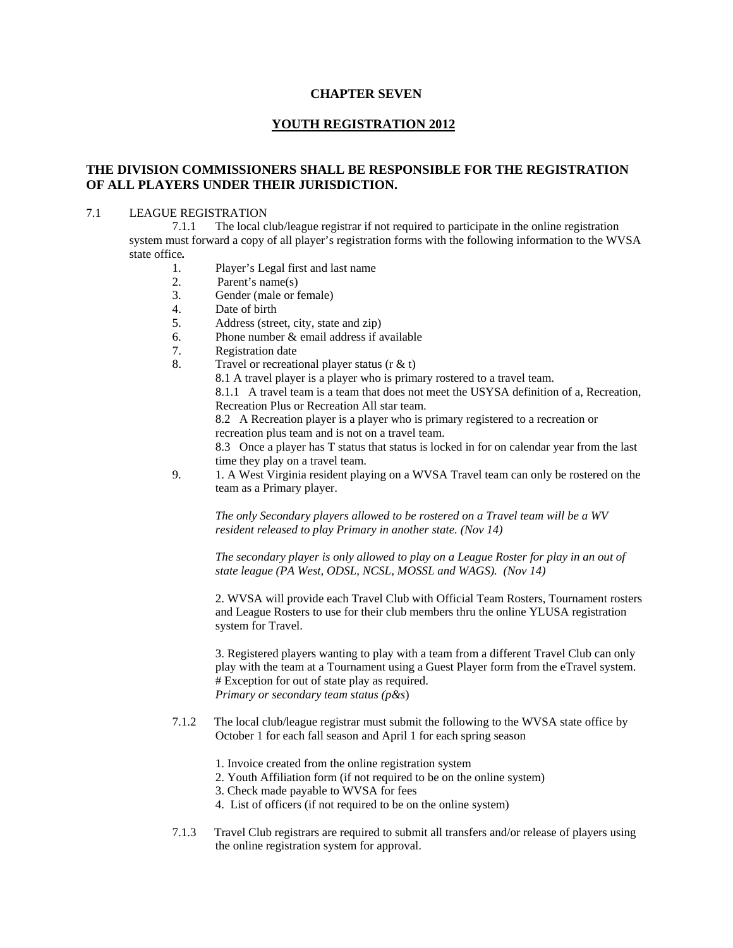# **CHAPTER SEVEN**

# **YOUTH REGISTRATION 2012**

# **THE DIVISION COMMISSIONERS SHALL BE RESPONSIBLE FOR THE REGISTRATION OF ALL PLAYERS UNDER THEIR JURISDICTION.**

## 7.1 LEAGUE REGISTRATION

7.1.1 The local club/league registrar if not required to participate in the online registration system must forward a copy of all player's registration forms with the following information to the WVSA state office*.* 

- 1. Player's Legal first and last name
- 2. Parent's name(s)
- 3. Gender (male or female)
- 4. Date of birth
- 5. Address (street, city, state and zip)
- 6. Phone number  $&$  email address if available
- 7. Registration date
- 8. Travel or recreational player status ( $r \& t$ )

8.1 A travel player is a player who is primary rostered to a travel team.

 8.1.1 A travel team is a team that does not meet the USYSA definition of a, Recreation, Recreation Plus or Recreation All star team.

 8.2 A Recreation player is a player who is primary registered to a recreation or recreation plus team and is not on a travel team.

 8.3 Once a player has T status that status is locked in for on calendar year from the last time they play on a travel team.

9. 1. A West Virginia resident playing on a WVSA Travel team can only be rostered on the team as a Primary player.

*The only Secondary players allowed to be rostered on a Travel team will be a WV resident released to play Primary in another state. (Nov 14)* 

*The secondary player is only allowed to play on a League Roster for play in an out of state league (PA West, ODSL, NCSL, MOSSL and WAGS). (Nov 14)* 

2. WVSA will provide each Travel Club with Official Team Rosters, Tournament rosters and League Rosters to use for their club members thru the online YLUSA registration system for Travel.

3. Registered players wanting to play with a team from a different Travel Club can only play with the team at a Tournament using a Guest Player form from the eTravel system. # Exception for out of state play as required.  *Primary or secondary team status (p&s*)

- 7.1.2 The local club/league registrar must submit the following to the WVSA state office by October 1 for each fall season and April 1 for each spring season
	- 1. Invoice created from the online registration system
	- 2. Youth Affiliation form (if not required to be on the online system)
	- 3. Check made payable to WVSA for fees
	- 4. List of officers (if not required to be on the online system)
- 7.1.3 Travel Club registrars are required to submit all transfers and/or release of players using the online registration system for approval.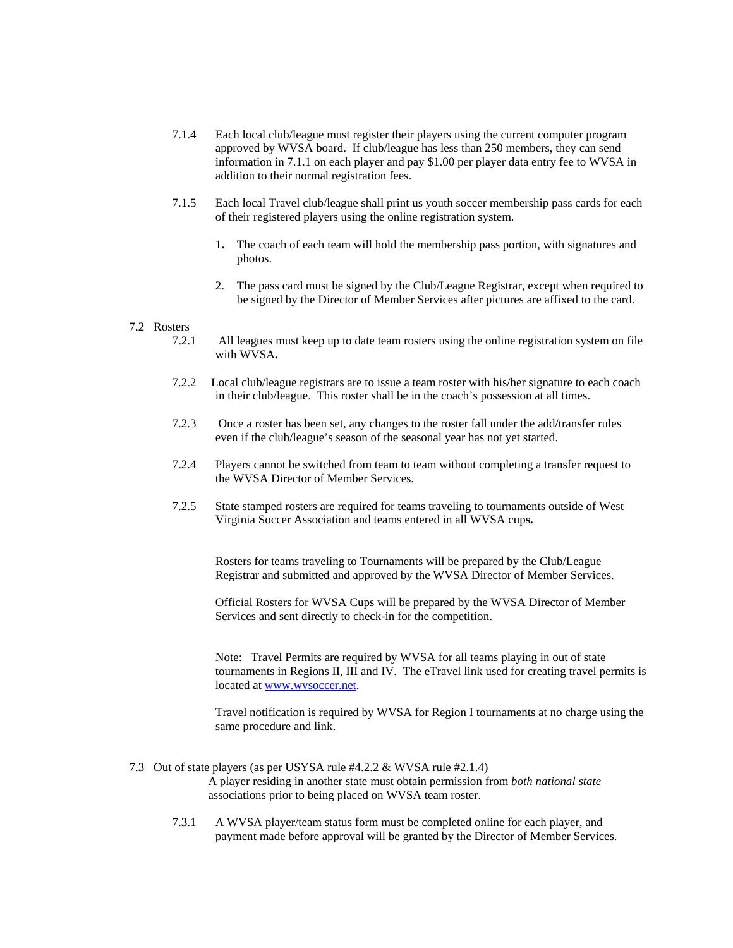- 7.1.4 Each local club/league must register their players using the current computer program approved by WVSA board. If club/league has less than 250 members, they can send information in 7.1.1 on each player and pay \$1.00 per player data entry fee to WVSA in addition to their normal registration fees.
- 7.1.5 Each local Travel club/league shall print us youth soccer membership pass cards for each of their registered players using the online registration system.
	- 1**.** The coach of each team will hold the membership pass portion, with signatures and photos.
	- 2. The pass card must be signed by the Club/League Registrar, except when required to be signed by the Director of Member Services after pictures are affixed to the card.

#### 7.2 Rosters

- 7.2.1 All leagues must keep up to date team rosters using the online registration system on file with WVSA**.**
- 7.2.2 Local club/league registrars are to issue a team roster with his/her signature to each coach in their club/league. This roster shall be in the coach's possession at all times.
- 7.2.3 Once a roster has been set, any changes to the roster fall under the add/transfer rules even if the club/league's season of the seasonal year has not yet started.
- 7.2.4 Players cannot be switched from team to team without completing a transfer request to the WVSA Director of Member Services.
- 7.2.5 State stamped rosters are required for teams traveling to tournaments outside of West Virginia Soccer Association and teams entered in all WVSA cup**s.**

Rosters for teams traveling to Tournaments will be prepared by the Club/League Registrar and submitted and approved by the WVSA Director of Member Services.

Official Rosters for WVSA Cups will be prepared by the WVSA Director of Member Services and sent directly to check-in for the competition.

Note: Travel Permits are required by WVSA for all teams playing in out of state tournaments in Regions II, III and IV. The eTravel link used for creating travel permits is located at www.wvsoccer.net.

Travel notification is required by WVSA for Region I tournaments at no charge using the same procedure and link.

7.3 Out of state players (as per USYSA rule #4.2.2 & WVSA rule #2.1.4)

A player residing in another state must obtain permission from *both national state* associations prior to being placed on WVSA team roster.

7.3.1 A WVSA player/team status form must be completed online for each player, and payment made before approval will be granted by the Director of Member Services.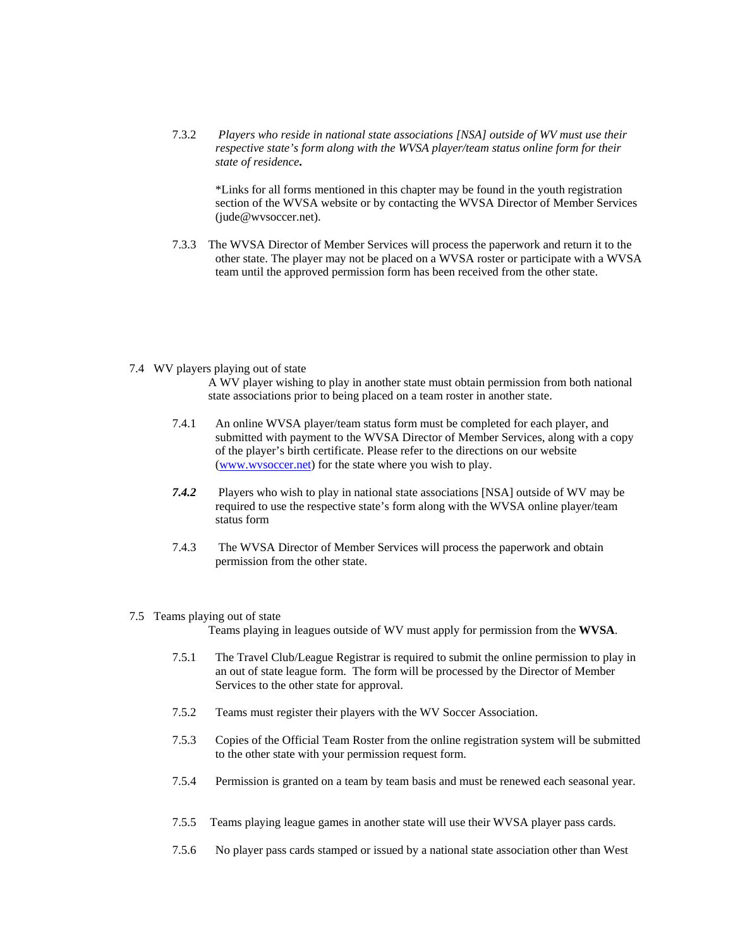7.3.2 *Players who reside in national state associations [NSA] outside of WV must use their respective state's form along with the WVSA player/team status online form for their state of residence***.** 

\*Links for all forms mentioned in this chapter may be found in the youth registration section of the WVSA website or by contacting the WVSA Director of Member Services (jude@wvsoccer.net).

7.3.3 The WVSA Director of Member Services will process the paperwork and return it to the other state. The player may not be placed on a WVSA roster or participate with a WVSA team until the approved permission form has been received from the other state.

#### 7.4 WV players playing out of state

A WV player wishing to play in another state must obtain permission from both national state associations prior to being placed on a team roster in another state.

- 7.4.1 An online WVSA player/team status form must be completed for each player, and submitted with payment to the WVSA Director of Member Services, along with a copy of the player's birth certificate. Please refer to the directions on our website (www.wvsoccer.net) for the state where you wish to play.
- *7.4.2* Players who wish to play in national state associations [NSA] outside of WV may be required to use the respective state's form along with the WVSA online player/team status form
- 7.4.3 The WVSA Director of Member Services will process the paperwork and obtain permission from the other state.

#### 7.5 Teams playing out of state

Teams playing in leagues outside of WV must apply for permission from the **WVSA**.

- 7.5.1 The Travel Club/League Registrar is required to submit the online permission to play in an out of state league form. The form will be processed by the Director of Member Services to the other state for approval.
- 7.5.2 Teams must register their players with the WV Soccer Association.
- 7.5.3 Copies of the Official Team Roster from the online registration system will be submitted to the other state with your permission request form.
- 7.5.4 Permission is granted on a team by team basis and must be renewed each seasonal year.
- 7.5.5 Teams playing league games in another state will use their WVSA player pass cards.
- 7.5.6 No player pass cards stamped or issued by a national state association other than West